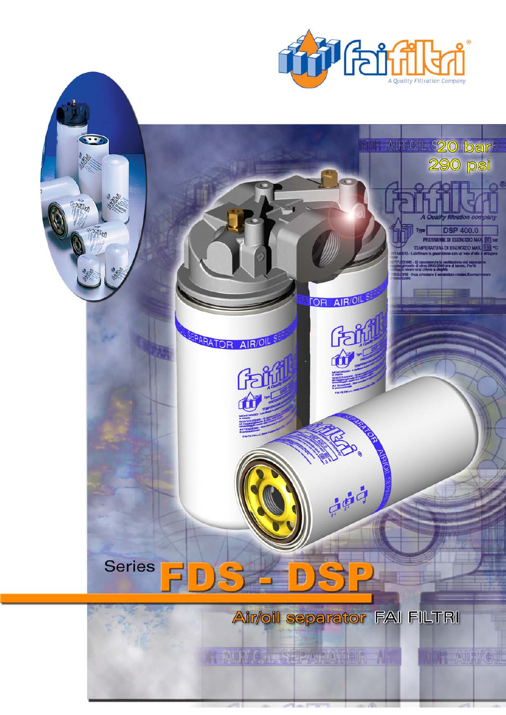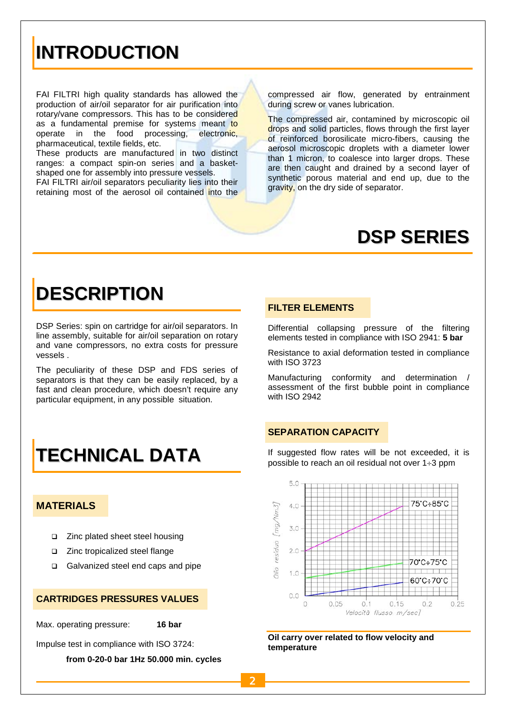### **INTRODUCTION**

FAI FILTRI high quality standards has allowed the production of air/oil separator for air purification into rotary/vane compressors. This has to be considered as a fundamental premise for systems meant to operate in the food processing, electronic, pharmaceutical, textile fields, etc.

These products are manufactured in two distinct ranges: a compact spin-on series and a basketshaped one for assembly into pressure vessels.

FAI FILTRI air/oil separators peculiarity lies into their retaining most of the aerosol oil contained into the

compressed air flow, generated by entrainment during screw or vanes lubrication.

The compressed air, contamined by microscopic oil drops and solid particles, flows through the first layer of reinforced borosilicate micro-fibers, causing the aerosol microscopic droplets with a diameter lower than 1 micron, to coalesce into larger drops. These are then caught and drained by a second layer of synthetic porous material and end up, due to the gravity, on the dry side of separator.

### **DSP SERIES**

## **DESCRIPTION**

DSP Series: spin on cartridge for air/oil separators. In line assembly, suitable for air/oil separation on rotary and vane compressors, no extra costs for pressure vessels .

The peculiarity of these DSP and FDS series of separators is that they can be easily replaced, by a fast and clean procedure, which doesn't require any particular equipment, in any possible situation.

### **TECHNICAL DATA**

#### **MATERIALS**

- □ Zinc plated sheet steel housing
- □ Zinc tropicalized steel flange
- Galvanized steel end caps and pipe

#### **CARTRIDGES PRESSURES VALUES**

Max. operating pressure: **16 bar**

Impulse test in compliance with ISO 3724:

**from 0-20-0 bar 1Hz 50.000 min. cycles**

#### **FILTER ELEMENTS**

Differential collapsing pressure of the filtering elements tested in compliance with ISO 2941: **5 bar**

Resistance to axial deformation tested in compliance with ISO 3723

Manufacturing conformity and determination assessment of the first bubble point in compliance with ISO 2942

#### **SEPARATION CAPACITY**

If suggested flow rates will be not exceeded, it is possible to reach an oil residual not over 1÷3 ppm



**Oil carry over related to flow velocity and temperature**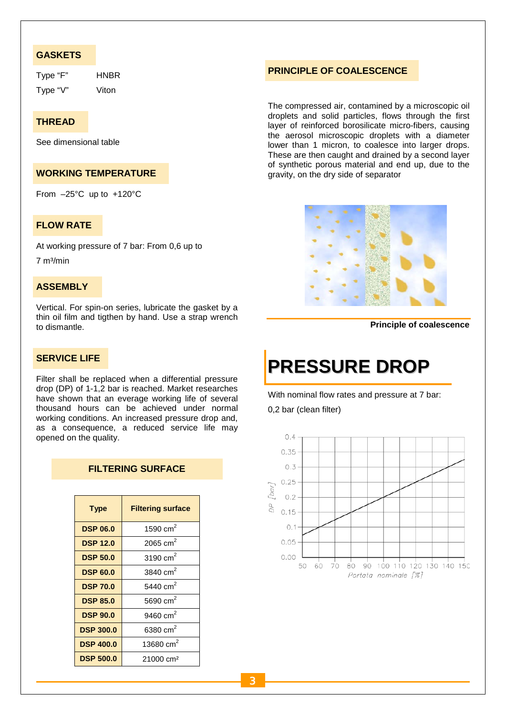#### **GASKETS**

Type "F" HNBR Type "V" Viton

#### **THREAD**

See dimensional table

#### **WORKING TEMPERATURE**

From –25°C up to +120°C

#### **FLOW RATE**

At working pressure of 7 bar: From 0,6 up to

 $7 m<sup>3</sup>/min$ 

#### **ASSEMBLY**

Vertical. For spin-on series, lubricate the gasket by a thin oil film and tigthen by hand. Use a strap wrench to dismantle.

#### **SERVICE LIFE**

Filter shall be replaced when a differential pressure drop (DP) of 1-1,2 bar is reached. Market researches have shown that an everage working life of several thousand hours can be achieved under normal working conditions. An increased pressure drop and, as a consequence, a reduced service life may opened on the quality.

| <b>Type</b>      | <b>Filtering surface</b> |  |  |  |  |  |
|------------------|--------------------------|--|--|--|--|--|
| <b>DSP 06.0</b>  | 1590 $cm2$               |  |  |  |  |  |
| <b>DSP 12.0</b>  | 2065 cm <sup>2</sup>     |  |  |  |  |  |
| <b>DSP 50.0</b>  | 3190 $cm2$               |  |  |  |  |  |
| <b>DSP 60.0</b>  | 3840 $cm2$               |  |  |  |  |  |
| <b>DSP 70.0</b>  | 5440 cm <sup>2</sup>     |  |  |  |  |  |
| <b>DSP 85.0</b>  | 5690 cm <sup>2</sup>     |  |  |  |  |  |
| <b>DSP 90.0</b>  | 9460 cm $^2$             |  |  |  |  |  |
| <b>DSP 300.0</b> | 6380 cm <sup>2</sup>     |  |  |  |  |  |
| <b>DSP 400.0</b> | 13680 $cm2$              |  |  |  |  |  |
| <b>DSP 500.0</b> | 21000 cm <sup>2</sup>    |  |  |  |  |  |

#### **FILTERING SURFACE**

#### **PRINCIPLE OF COALESCENCE**

The compressed air, contamined by a microscopic oil droplets and solid particles, flows through the first layer of reinforced borosilicate micro-fibers, causing the aerosol microscopic droplets with a diameter lower than 1 micron, to coalesce into larger drops. These are then caught and drained by a second layer of synthetic porous material and end up, due to the gravity, on the dry side of separator



**Principle of coalescence**

# **PRESSURE DROP**

With nominal flow rates and pressure at 7 bar: 0,2 bar (clean filter)

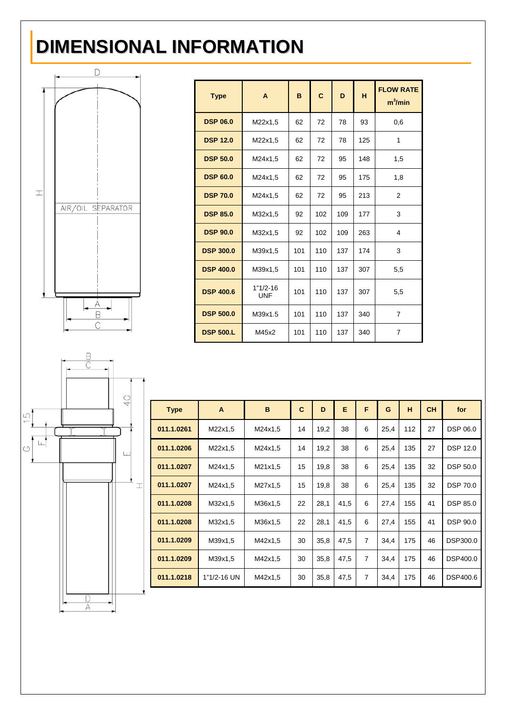## **DIMENSIONAL INFORMATION**



| <b>Type</b>      | A                        | B   | $\mathbf{C}$ | D   | н   | <b>FLOW RATE</b><br>$m^3/m$ in |
|------------------|--------------------------|-----|--------------|-----|-----|--------------------------------|
| <b>DSP 06.0</b>  | M22x1,5                  | 62  | 72           | 78  | 93  | 0,6                            |
| <b>DSP 12.0</b>  | M22x1,5                  | 62  | 72           | 78  | 125 | 1                              |
| <b>DSP 50.0</b>  | M24x1,5                  | 62  | 72           | 95  | 148 | 1,5                            |
| <b>DSP 60.0</b>  | M24x1,5                  | 62  | 72           | 95  | 175 | 1,8                            |
| <b>DSP 70.0</b>  | M24x1,5                  | 62  | 72           | 95  | 213 | 2                              |
| <b>DSP 85.0</b>  | M32x1,5                  | 92  | 102          | 109 | 177 | 3                              |
| <b>DSP 90.0</b>  | M32x1,5                  | 92  | 102          | 109 | 263 | 4                              |
| <b>DSP 300.0</b> | M39x1,5                  | 101 | 110          | 137 | 174 | 3                              |
| <b>DSP 400.0</b> | M39x1,5                  | 101 | 110          | 137 | 307 | 5,5                            |
| <b>DSP 400.6</b> | $1"1/2-16$<br><b>UNF</b> | 101 | 110          | 137 | 307 | 5,5                            |
| <b>DSP 500.0</b> | M39x1.5                  | 101 | 110          | 137 | 340 | $\overline{7}$                 |
| <b>DSP 500.L</b> | M45x2                    | 101 | 110          | 137 | 340 | 7                              |



| <b>Type</b> | A           | B       | $\mathbf C$ | D    | Е    | F              | G    | н   | <b>CH</b> | for             |
|-------------|-------------|---------|-------------|------|------|----------------|------|-----|-----------|-----------------|
| 011.1.0261  | M22x1,5     | M24x1,5 | 14          | 19,2 | 38   | 6              | 25,4 | 112 | 27        | <b>DSP 06.0</b> |
| 011.1.0206  | M22x1,5     | M24x1,5 | 14          | 19,2 | 38   | 6              | 25,4 | 135 | 27        | <b>DSP 12.0</b> |
| 011.1.0207  | M24x1,5     | M21x1,5 | 15          | 19,8 | 38   | 6              | 25,4 | 135 | 32        | <b>DSP 50.0</b> |
| 011.1.0207  | M24x1,5     | M27x1,5 | 15          | 19,8 | 38   | 6              | 25,4 | 135 | 32        | <b>DSP 70.0</b> |
| 011.1.0208  | M32x1,5     | M36x1,5 | 22          | 28,1 | 41,5 | 6              | 27,4 | 155 | 41        | <b>DSP 85.0</b> |
| 011.1.0208  | M32x1,5     | M36x1,5 | 22          | 28,1 | 41,5 | 6              | 27,4 | 155 | 41        | <b>DSP 90.0</b> |
| 011.1.0209  | M39x1,5     | M42x1,5 | 30          | 35,8 | 47,5 | $\overline{7}$ | 34,4 | 175 | 46        | DSP300.0        |
| 011.1.0209  | M39x1,5     | M42x1,5 | 30          | 35,8 | 47,5 | $\overline{7}$ | 34,4 | 175 | 46        | DSP400.0        |
| 011.1.0218  | 1"1/2-16 UN | M42x1.5 | 30          | 35,8 | 47,5 | $\overline{7}$ | 34,4 | 175 | 46        | DSP400.6        |
|             |             |         |             |      |      |                |      |     |           |                 |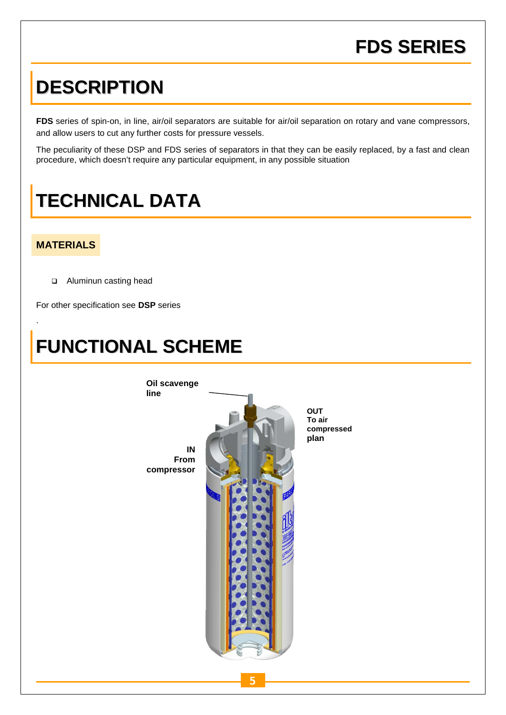## **FDS SERIES**

### **DESCRIPTION**

**FDS** series of spin-on, in line, air/oil separators are suitable for air/oil separation on rotary and vane compressors, and allow users to cut any further costs for pressure vessels.

The peculiarity of these DSP and FDS series of separators in that they can be easily replaced, by a fast and clean procedure, which doesn't require any particular equipment, in any possible situation

# **TECHNICAL DATA**

#### **MATERIALS**

.

□ Aluminun casting head

For other specification see **DSP** series

### **FUNCTIONAL SCHEME**



**compressed**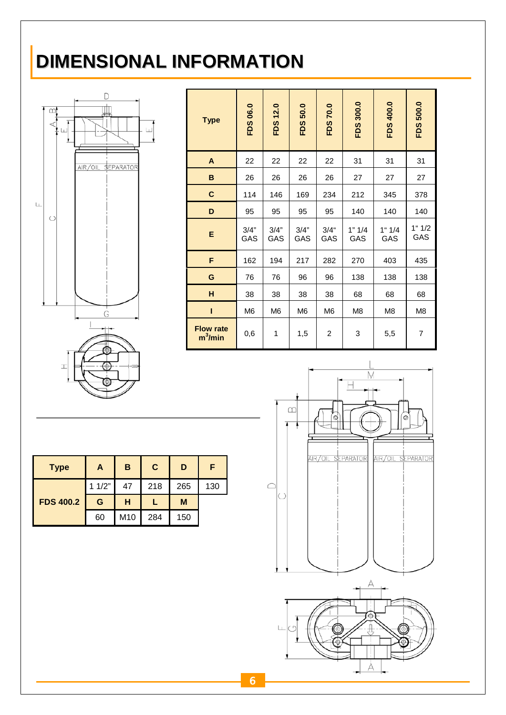# **DIMENSIONAL INFORMATION**



| <b>Type</b>                    | <b>FDS 06.0</b> | FDS 12.0    | 50.0<br>FDS | FDS 70.0       | FDS 300.0     | FDS 400.0     | FDS 500.0      |
|--------------------------------|-----------------|-------------|-------------|----------------|---------------|---------------|----------------|
| A                              | 22              | 22          | 22          | 22             | 31            | 31            | 31             |
| B                              | 26              | 26          | 26          | 26             | 27            | 27            | 27             |
| $\mathbf C$                    | 114             | 146         | 169         | 234            | 212           | 345           | 378            |
| D                              | 95              | 95          | 95          | 95             | 140           | 140           | 140            |
| E                              | 3/4"<br>GAS     | 3/4"<br>GAS | 3/4"<br>GAS | $3/4$ "<br>GAS | 1" 1/4<br>GAS | 1" 1/4<br>GAS | 1" 1/2<br>GAS  |
| F                              | 162             | 194         | 217         | 282            | 270           | 403           | 435            |
| G                              | 76              | 76          | 96          | 96             | 138           | 138           | 138            |
| H                              | 38              | 38          | 38          | 38             | 68            | 68            | 68             |
| ı                              | M6              | M6          | M6          | M <sub>6</sub> | M8            | M8            | M8             |
| <b>Flow rate</b><br>$m^3/m$ in | 0,6             | 1           | 1,5         | 2              | 3             | 5,5           | $\overline{7}$ |



| <b>Type</b>      | А     | B               | C   | D   | F   |
|------------------|-------|-----------------|-----|-----|-----|
| <b>FDS 400.2</b> | 11/2" | 47              | 218 | 265 | 130 |
|                  | G     | н               |     | M   |     |
|                  | 60    | M <sub>10</sub> | 284 | 150 |     |